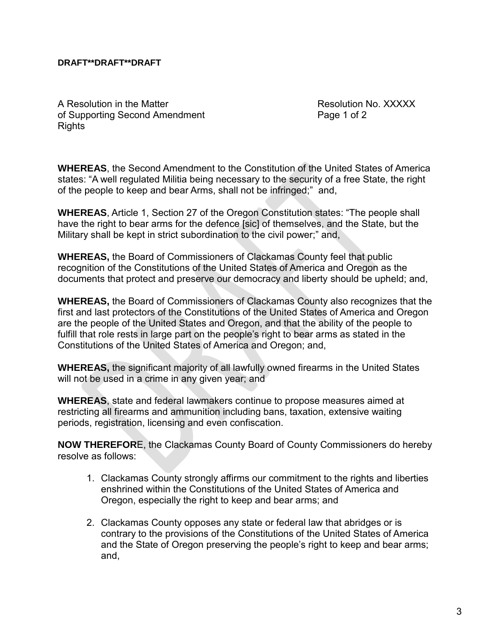## **DRAFT\*\*DRAFT\*\*DRAFT**

A Resolution in the Matter **Resolution No. XXXXX** A of Supporting Second Amendment Page 1 of 2 **Rights** 

**WHEREAS**, the Second Amendment to the Constitution of the United States of America states: "A well regulated Militia being necessary to the security of a free State, the right of the people to keep and bear Arms, shall not be infringed;" and,

**WHEREAS**, Article 1, Section 27 of the Oregon Constitution states: "The people shall have the right to bear arms for the defence [sic] of themselves, and the State, but the Military shall be kept in strict subordination to the civil power;" and,

**WHEREAS,** the Board of Commissioners of Clackamas County feel that public recognition of the Constitutions of the United States of America and Oregon as the documents that protect and preserve our democracy and liberty should be upheld; and,

**WHEREAS,** the Board of Commissioners of Clackamas County also recognizes that the first and last protectors of the Constitutions of the United States of America and Oregon are the people of the United States and Oregon, and that the ability of the people to fulfill that role rests in large part on the people's right to bear arms as stated in the Constitutions of the United States of America and Oregon; and,

**WHEREAS,** the significant majority of all lawfully owned firearms in the United States will not be used in a crime in any given year; and

**WHEREAS**, state and federal lawmakers continue to propose measures aimed at restricting all firearms and ammunition including bans, taxation, extensive waiting periods, registration, licensing and even confiscation.

**NOW THEREFOR**E, the Clackamas County Board of County Commissioners do hereby resolve as follows:

- 1. Clackamas County strongly affirms our commitment to the rights and liberties enshrined within the Constitutions of the United States of America and Oregon, especially the right to keep and bear arms; and
- 2. Clackamas County opposes any state or federal law that abridges or is contrary to the provisions of the Constitutions of the United States of America and the State of Oregon preserving the people's right to keep and bear arms; and,